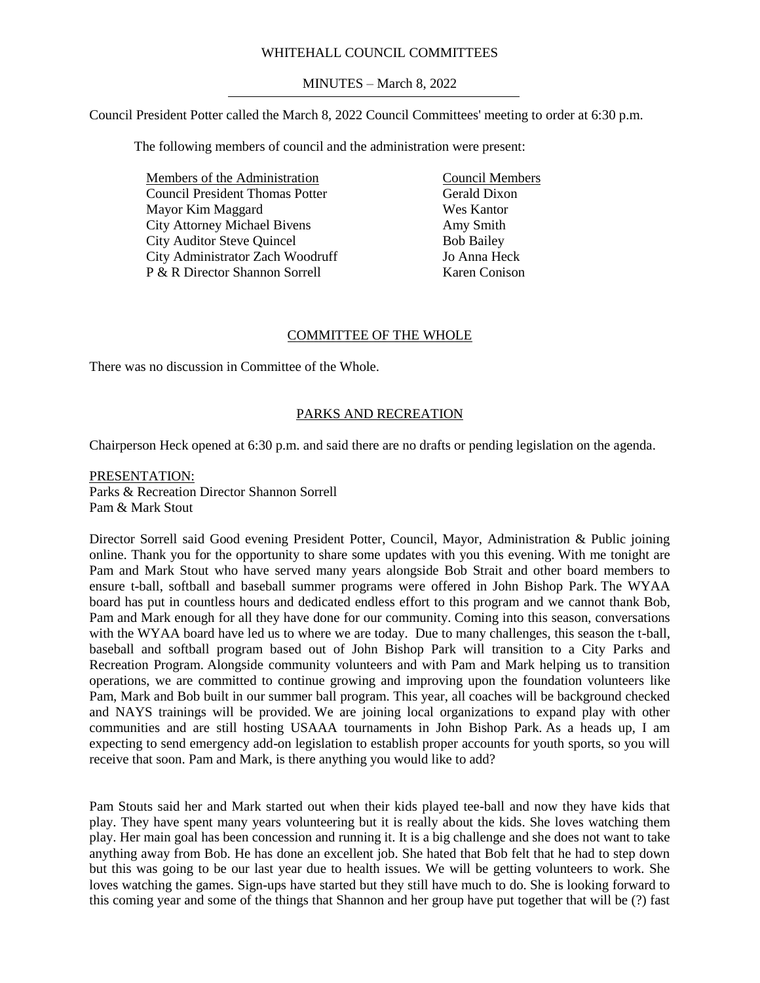#### WHITEHALL COUNCIL COMMITTEES

## MINUTES – March 8, 2022

Council President Potter called the March 8, 2022 Council Committees' meeting to order at 6:30 p.m.

The following members of council and the administration were present:

Members of the Administration Council President Thomas Potter Mayor Kim Maggard City Attorney Michael Bivens City Auditor Steve Quincel City Administrator Zach Woodruff P & R Director Shannon Sorrell

Council Members Gerald Dixon Wes Kantor Amy Smith Bob Bailey Jo Anna Heck Karen Conison

### COMMITTEE OF THE WHOLE

There was no discussion in Committee of the Whole.

# PARKS AND RECREATION

Chairperson Heck opened at 6:30 p.m. and said there are no drafts or pending legislation on the agenda.

PRESENTATION: Parks & Recreation Director Shannon Sorrell Pam & Mark Stout

Director Sorrell said Good evening President Potter, Council, Mayor, Administration & Public joining online. Thank you for the opportunity to share some updates with you this evening. With me tonight are Pam and Mark Stout who have served many years alongside Bob Strait and other board members to ensure t-ball, softball and baseball summer programs were offered in John Bishop Park. The WYAA board has put in countless hours and dedicated endless effort to this program and we cannot thank Bob, Pam and Mark enough for all they have done for our community. Coming into this season, conversations with the WYAA board have led us to where we are today. Due to many challenges, this season the t-ball, baseball and softball program based out of John Bishop Park will transition to a City Parks and Recreation Program. Alongside community volunteers and with Pam and Mark helping us to transition operations, we are committed to continue growing and improving upon the foundation volunteers like Pam, Mark and Bob built in our summer ball program. This year, all coaches will be background checked and NAYS trainings will be provided. We are joining local organizations to expand play with other communities and are still hosting USAAA tournaments in John Bishop Park. As a heads up, I am expecting to send emergency add-on legislation to establish proper accounts for youth sports, so you will receive that soon. Pam and Mark, is there anything you would like to add?

Pam Stouts said her and Mark started out when their kids played tee-ball and now they have kids that play. They have spent many years volunteering but it is really about the kids. She loves watching them play. Her main goal has been concession and running it. It is a big challenge and she does not want to take anything away from Bob. He has done an excellent job. She hated that Bob felt that he had to step down but this was going to be our last year due to health issues. We will be getting volunteers to work. She loves watching the games. Sign-ups have started but they still have much to do. She is looking forward to this coming year and some of the things that Shannon and her group have put together that will be (?) fast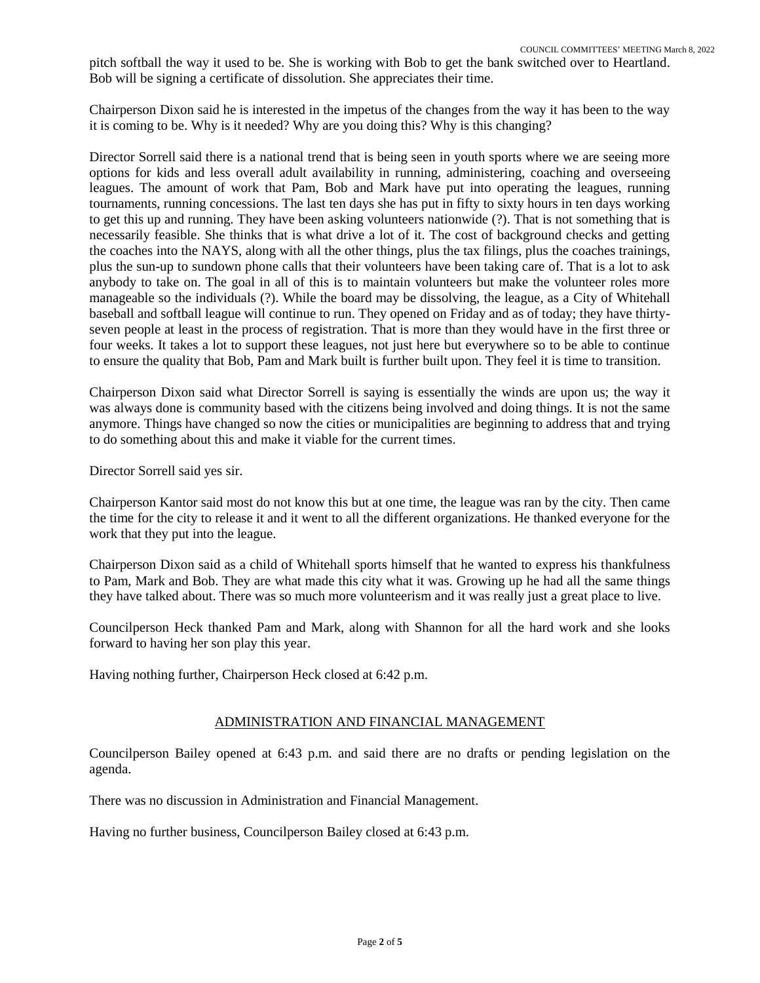pitch softball the way it used to be. She is working with Bob to get the bank switched over to Heartland. Bob will be signing a certificate of dissolution. She appreciates their time.

Chairperson Dixon said he is interested in the impetus of the changes from the way it has been to the way it is coming to be. Why is it needed? Why are you doing this? Why is this changing?

Director Sorrell said there is a national trend that is being seen in youth sports where we are seeing more options for kids and less overall adult availability in running, administering, coaching and overseeing leagues. The amount of work that Pam, Bob and Mark have put into operating the leagues, running tournaments, running concessions. The last ten days she has put in fifty to sixty hours in ten days working to get this up and running. They have been asking volunteers nationwide (?). That is not something that is necessarily feasible. She thinks that is what drive a lot of it. The cost of background checks and getting the coaches into the NAYS, along with all the other things, plus the tax filings, plus the coaches trainings, plus the sun-up to sundown phone calls that their volunteers have been taking care of. That is a lot to ask anybody to take on. The goal in all of this is to maintain volunteers but make the volunteer roles more manageable so the individuals (?). While the board may be dissolving, the league, as a City of Whitehall baseball and softball league will continue to run. They opened on Friday and as of today; they have thirtyseven people at least in the process of registration. That is more than they would have in the first three or four weeks. It takes a lot to support these leagues, not just here but everywhere so to be able to continue to ensure the quality that Bob, Pam and Mark built is further built upon. They feel it is time to transition.

Chairperson Dixon said what Director Sorrell is saying is essentially the winds are upon us; the way it was always done is community based with the citizens being involved and doing things. It is not the same anymore. Things have changed so now the cities or municipalities are beginning to address that and trying to do something about this and make it viable for the current times.

Director Sorrell said yes sir.

Chairperson Kantor said most do not know this but at one time, the league was ran by the city. Then came the time for the city to release it and it went to all the different organizations. He thanked everyone for the work that they put into the league.

Chairperson Dixon said as a child of Whitehall sports himself that he wanted to express his thankfulness to Pam, Mark and Bob. They are what made this city what it was. Growing up he had all the same things they have talked about. There was so much more volunteerism and it was really just a great place to live.

Councilperson Heck thanked Pam and Mark, along with Shannon for all the hard work and she looks forward to having her son play this year.

Having nothing further, Chairperson Heck closed at 6:42 p.m.

#### ADMINISTRATION AND FINANCIAL MANAGEMENT

Councilperson Bailey opened at 6:43 p.m. and said there are no drafts or pending legislation on the agenda.

There was no discussion in Administration and Financial Management.

Having no further business, Councilperson Bailey closed at 6:43 p.m.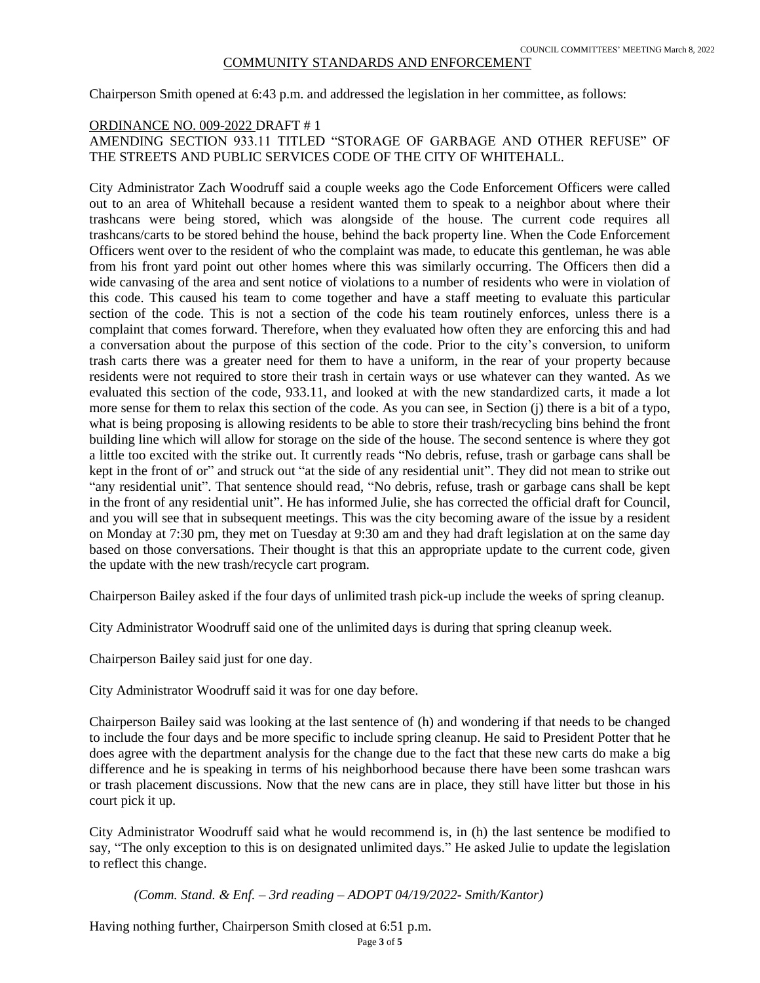#### COMMUNITY STANDARDS AND ENFORCEMENT

Chairperson Smith opened at 6:43 p.m. and addressed the legislation in her committee, as follows:

## ORDINANCE NO. 009-2022 DRAFT # 1 AMENDING SECTION 933.11 TITLED "STORAGE OF GARBAGE AND OTHER REFUSE" OF THE STREETS AND PUBLIC SERVICES CODE OF THE CITY OF WHITEHALL.

City Administrator Zach Woodruff said a couple weeks ago the Code Enforcement Officers were called out to an area of Whitehall because a resident wanted them to speak to a neighbor about where their trashcans were being stored, which was alongside of the house. The current code requires all trashcans/carts to be stored behind the house, behind the back property line. When the Code Enforcement Officers went over to the resident of who the complaint was made, to educate this gentleman, he was able from his front yard point out other homes where this was similarly occurring. The Officers then did a wide canvasing of the area and sent notice of violations to a number of residents who were in violation of this code. This caused his team to come together and have a staff meeting to evaluate this particular section of the code. This is not a section of the code his team routinely enforces, unless there is a complaint that comes forward. Therefore, when they evaluated how often they are enforcing this and had a conversation about the purpose of this section of the code. Prior to the city's conversion, to uniform trash carts there was a greater need for them to have a uniform, in the rear of your property because residents were not required to store their trash in certain ways or use whatever can they wanted. As we evaluated this section of the code, 933.11, and looked at with the new standardized carts, it made a lot more sense for them to relax this section of the code. As you can see, in Section (j) there is a bit of a typo, what is being proposing is allowing residents to be able to store their trash/recycling bins behind the front building line which will allow for storage on the side of the house. The second sentence is where they got a little too excited with the strike out. It currently reads "No debris, refuse, trash or garbage cans shall be kept in the front of or" and struck out "at the side of any residential unit". They did not mean to strike out "any residential unit". That sentence should read, "No debris, refuse, trash or garbage cans shall be kept in the front of any residential unit". He has informed Julie, she has corrected the official draft for Council, and you will see that in subsequent meetings. This was the city becoming aware of the issue by a resident on Monday at 7:30 pm, they met on Tuesday at 9:30 am and they had draft legislation at on the same day based on those conversations. Their thought is that this an appropriate update to the current code, given the update with the new trash/recycle cart program.

Chairperson Bailey asked if the four days of unlimited trash pick-up include the weeks of spring cleanup.

City Administrator Woodruff said one of the unlimited days is during that spring cleanup week.

Chairperson Bailey said just for one day.

City Administrator Woodruff said it was for one day before.

Chairperson Bailey said was looking at the last sentence of (h) and wondering if that needs to be changed to include the four days and be more specific to include spring cleanup. He said to President Potter that he does agree with the department analysis for the change due to the fact that these new carts do make a big difference and he is speaking in terms of his neighborhood because there have been some trashcan wars or trash placement discussions. Now that the new cans are in place, they still have litter but those in his court pick it up.

City Administrator Woodruff said what he would recommend is, in (h) the last sentence be modified to say, "The only exception to this is on designated unlimited days." He asked Julie to update the legislation to reflect this change.

*(Comm. Stand. & Enf. – 3rd reading – ADOPT 04/19/2022- Smith/Kantor)*

Having nothing further, Chairperson Smith closed at 6:51 p.m.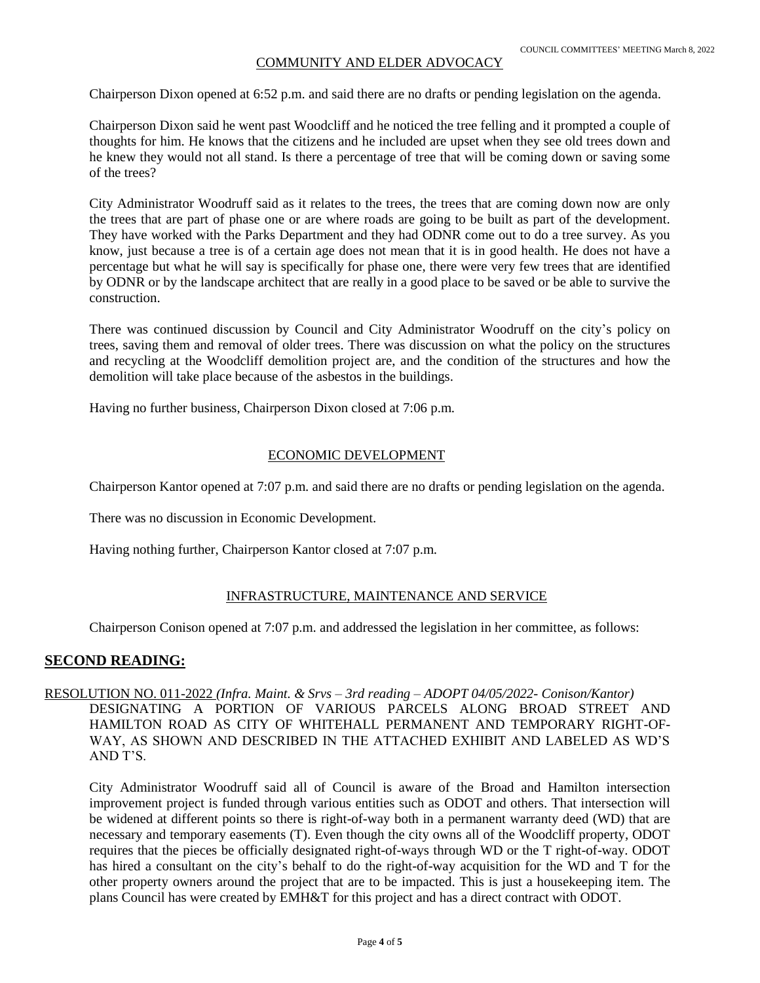### COMMUNITY AND ELDER ADVOCACY

Chairperson Dixon opened at 6:52 p.m. and said there are no drafts or pending legislation on the agenda.

Chairperson Dixon said he went past Woodcliff and he noticed the tree felling and it prompted a couple of thoughts for him. He knows that the citizens and he included are upset when they see old trees down and he knew they would not all stand. Is there a percentage of tree that will be coming down or saving some of the trees?

City Administrator Woodruff said as it relates to the trees, the trees that are coming down now are only the trees that are part of phase one or are where roads are going to be built as part of the development. They have worked with the Parks Department and they had ODNR come out to do a tree survey. As you know, just because a tree is of a certain age does not mean that it is in good health. He does not have a percentage but what he will say is specifically for phase one, there were very few trees that are identified by ODNR or by the landscape architect that are really in a good place to be saved or be able to survive the construction.

There was continued discussion by Council and City Administrator Woodruff on the city's policy on trees, saving them and removal of older trees. There was discussion on what the policy on the structures and recycling at the Woodcliff demolition project are, and the condition of the structures and how the demolition will take place because of the asbestos in the buildings.

Having no further business, Chairperson Dixon closed at 7:06 p.m.

### ECONOMIC DEVELOPMENT

Chairperson Kantor opened at 7:07 p.m. and said there are no drafts or pending legislation on the agenda.

There was no discussion in Economic Development.

Having nothing further, Chairperson Kantor closed at 7:07 p.m.

## INFRASTRUCTURE, MAINTENANCE AND SERVICE

Chairperson Conison opened at 7:07 p.m. and addressed the legislation in her committee, as follows:

## **SECOND READING:**

## RESOLUTION NO. 011-2022 *(Infra. Maint. & Srvs – 3rd reading – ADOPT 04/05/2022- Conison/Kantor)* DESIGNATING A PORTION OF VARIOUS PARCELS ALONG BROAD STREET AND HAMILTON ROAD AS CITY OF WHITEHALL PERMANENT AND TEMPORARY RIGHT-OF-WAY, AS SHOWN AND DESCRIBED IN THE ATTACHED EXHIBIT AND LABELED AS WD'S AND T'S.

City Administrator Woodruff said all of Council is aware of the Broad and Hamilton intersection improvement project is funded through various entities such as ODOT and others. That intersection will be widened at different points so there is right-of-way both in a permanent warranty deed (WD) that are necessary and temporary easements (T). Even though the city owns all of the Woodcliff property, ODOT requires that the pieces be officially designated right-of-ways through WD or the T right-of-way. ODOT has hired a consultant on the city's behalf to do the right-of-way acquisition for the WD and T for the other property owners around the project that are to be impacted. This is just a housekeeping item. The plans Council has were created by EMH&T for this project and has a direct contract with ODOT.